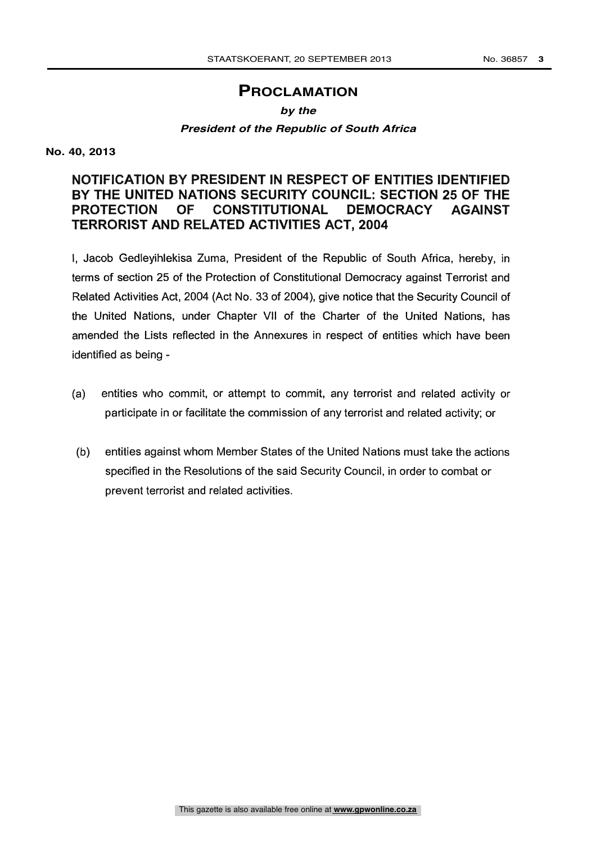# **PROCLAMATION**

#### *by the*

### *President of the Republic of South Africa*

**No. 40, 2013**

## NOTIFICATION BY PRESIDENT IN RESPECT OF ENTITIES IDENTIFIED BY THE UNITED NATIONS SECURITY COUNCIL: SECTION 25 OF THE PROTECTION OF CONSTITUTIONAL DEMOCRACY AGAINST TERRORIST AND RELATED ACTIVITIES ACT, 2004

I, Jacob Gedleyihlekisa Zuma, President of the Republic of South Africa, hereby, in terms of section 25 of the Protection of Constitutional Democracy against Terrorist and Related Activities Act, 2004 (Act No. 33 of 2004), give notice that the Security Council of the United Nations, under Chapter VII of the Charter of the United Nations, has amended the Lists reflected in the Annexures in respect of entities which have been identified as being -

- (a) entities who commit, or attempt to commit, any terrorist and related activity or participate in or facilitate the commission of any terrorist and related activity; or
- (b) entities against whom Member States of the United Nations must take the actions specified in the Resolutions of the said Security Council, in order to combat or prevent terrorist and related activities.